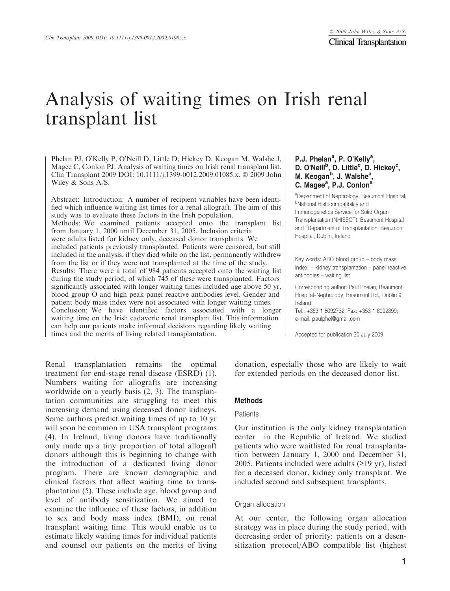# Analysis of waiting times on Irish renal transplant list

Phelan PJ, O'Kelly P, O'Neill D, Little D, Hickey D, Keogan M, Walshe J, Magee C, Conlon PJ. Analysis of waiting times on Irish renal transplant list. Clin Transplant 2009 DOI:  $10.1111/1.1399-0012.2009.01085.x$ . © 2009 John Wiley & Sons A/S.

Abstract: Introduction: A number of recipient variables have been identified which influence waiting list times for a renal allograft. The aim of this study was to evaluate these factors in the Irish population. Methods: We examined patients accepted onto the transplant list from January 1, 2000 until December 31, 2005. Inclusion criteria were adults listed for kidney only, deceased donor transplants. We included patients previously transplanted. Patients were censored, but still included in the analysis, if they died while on the list, permanently withdrew from the list or if they were not transplanted at the time of the study. Results: There were a total of 984 patients accepted onto the waiting list during the study period, of which 745 of these were transplanted. Factors significantly associated with longer waiting times included age above 50 yr, blood group O and high peak panel reactive antibodies level. Gender and patient body mass index were not associated with longer waiting times. Conclusion: We have identified factors associated with a longer waiting time on the Irish cadaveric renal transplant list. This information can help our patients make informed decisions regarding likely waiting times and the merits of living related transplantation.

Renal transplantation remains the optimal treatment for end-stage renal disease (ESRD) (1). Numbers waiting for allografts are increasing worldwide on a yearly basis (2, 3). The transplantation communities are struggling to meet this increasing demand using deceased donor kidneys. Some authors predict waiting times of up to 10 yr will soon be common in USA transplant programs (4). In Ireland, living donors have traditionally only made up a tiny proportion of total allograft donors although this is beginning to change with the introduction of a dedicated living donor program. There are known demographic and clinical factors that affect waiting time to transplantation (5). These include age, blood group and level of antibody sensitization. We aimed to examine the influence of these factors, in addition to sex and body mass index (BMI), on renal transplant waiting time. This would enable us to estimate likely waiting times for individual patients and counsel our patients on the merits of living

## P.J. Phelan<sup>a</sup>, P. O'Kelly<sup>a</sup>, D. O'Neill<sup>b</sup>, D. Little<sup>c</sup>, D. Hickey<sup>c</sup>, M. Keogan<sup>b</sup>, J. Walshe<sup>a</sup>, C. Magee<sup>a</sup>, P.J. Conlon<sup>a</sup>

a Department of Nephrology, Beaumont Hospital, <sup>b</sup>National Histocompatibility and Immunogenetics Service for Solid Organ Transplantation (NHISSOT), Beaumont Hospital and <sup>c</sup>Department of Transplantation, Beaumont Hospital, Dublin, Ireland

Key words: ABO blood group – body mass index – kidney transplantation – panel reactive antibodies – waiting list

Corresponding author: Paul Phelan, Beaumont Hospital–Nephrology, Beaumont Rd., Dublin 9, Ireland.

Tel.: +353 1 8092732; Fax: +353 1 8092899; e-mail: paulphel@gmail.com

Accepted for publication 30 July 2009

donation, especially those who are likely to wait for extended periods on the deceased donor list.

#### **Methods**

### **Patients**

Our institution is the only kidney transplantation center in the Republic of Ireland. We studied patients who were waitlisted for renal transplantation between January 1, 2000 and December 31, 2005. Patients included were adults  $(≥19 \text{ yr})$ , listed for a deceased donor, kidney only transplant. We included second and subsequent transplants.

#### Organ allocation

At our center, the following organ allocation strategy was in place during the study period, with decreasing order of priority: patients on a desensitization protocol/ABO compatible list (highest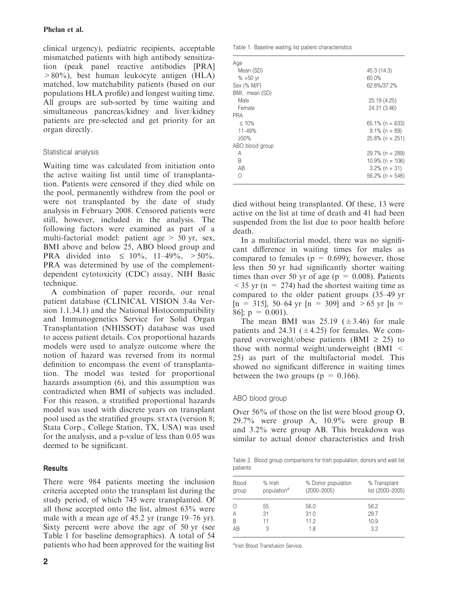clinical urgency), pediatric recipients, acceptable mismatched patients with high antibody sensitization (peak panel reactive antibodies [PRA] >80%), best human leukocyte antigen (HLA) matched, low matchability patients (based on our populations HLA profile) and longest waiting time. All groups are sub-sorted by time waiting and simultaneous pancreas/kidney and liver/kidney patients are pre-selected and get priority for an organ directly.

# Statistical analysis

Waiting time was calculated from initiation onto the active waiting list until time of transplantation. Patients were censored if they died while on the pool, permanently withdrew from the pool or were not transplanted by the date of study analysis in February 2008. Censored patients were still, however, included in the analysis. The following factors were examined as part of a multi-factorial model: patient age  $> 50$  yr, sex, BMI above and below 25, ABO blood group and PRA divided into  $\leq 10\%$ , 11–49%,  $> 50\%$ . PRA was determined by use of the complementdependent cytotoxicity (CDC) assay, NIH Basic technique.

A combination of paper records, our renal patient database (CLINICAL VISION 3.4a Version 1.1.34.1) and the National Histocompatibility and Immunogenetics Service for Solid Organ Transplantation (NHISSOT) database was used to access patient details. Cox proportional hazards models were used to analyze outcome where the notion of hazard was reversed from its normal definition to encompass the event of transplantation. The model was tested for proportional hazards assumption (6), and this assumption was contradicted when BMI of subjects was included. For this reason, a stratified proportional hazards model was used with discrete years on transplant pool used as the stratified groups. STATA (version 8; Stata Corp., College Station, TX, USA) was used for the analysis, and a p-value of less than 0.05 was deemed to be significant.

# **Results**

There were 984 patients meeting the inclusion criteria accepted onto the transplant list during the study period, of which 745 were transplanted. Of all those accepted onto the list, almost 63% were male with a mean age of 45.2 yr (range 19–76 yr). Sixty percent were above the age of 50 yr (see Table 1 for baseline demographics). A total of 54 patients who had been approved for the waiting list

|  |  |  |  |  | Table 1. Baseline waiting list patient characteristics |
|--|--|--|--|--|--------------------------------------------------------|
|--|--|--|--|--|--------------------------------------------------------|

| Age<br>Mean (SD)<br>$% >50$ yr<br>Sex (% M/F) | 45.3 (14.3)<br>60.0%<br>62.8%/37.2% |
|-----------------------------------------------|-------------------------------------|
| BMI, mean (SD)                                |                                     |
| Male                                          | 25.19 (4.25)                        |
| Female                                        | 24.31 (3.46)                        |
| <b>PRA</b>                                    |                                     |
| $\leq 10\%$                                   | $65.1\%$ (n = 633)                  |
| $11 - 49%$                                    | $9.1\%$ (n = 89)                    |
| $>50\%$                                       | $25.8\%$ (n = 251)                  |
| ABO blood group                               |                                     |
| A                                             | $29.7\%$ (n = 289)                  |
| B                                             | $10.9\%$ (n = 106)                  |
| AB                                            | $3.2\%$ (n = 31)                    |
| ∩                                             | $56.2\%$ (n = 548)                  |
|                                               |                                     |

died without being transplanted. Of these, 13 were active on the list at time of death and 41 had been suspended from the list due to poor health before death.

In a multifactorial model, there was no significant difference in waiting times for males as compared to females ( $p = 0.699$ ); however, those less then 50 yr had significantly shorter waiting times than over 50 yr of age ( $p = 0.008$ ). Patients  $\langle 35 \text{ yr} \rangle$  (n = 274) had the shortest waiting time as compared to the older patient groups (35–49 yr  $[n = 315]$ , 50–64 yr  $[n = 309]$  and >65 yr  $[n = 1]$ 86];  $p = 0.001$ ).

The mean BMI was  $25.19 \ (\pm 3.46)$  for male patients and 24.31 ( $\pm$ 4.25) for females. We compared overweight/obese patients (BMI  $\geq$  25) to those with normal weight/underweight  $(BMI <$ 25) as part of the multifactorial model. This showed no significant difference in waiting times between the two groups ( $p = 0.166$ ).

# ABO blood group

Over 56% of those on the list were blood group O, 29.7% were group A, 10.9% were group B and 3.2% were group AB. This breakdown was similar to actual donor characteristics and Irish

Table 2. Blood group comparisons for Irish population, donors and wait list patients

| <b>Blood</b><br>group | % Irish<br>population <sup>a</sup> | % Donor population<br>$(2000 - 2005)$ | % Transplant<br>list (2000-2005) |
|-----------------------|------------------------------------|---------------------------------------|----------------------------------|
| B<br>AB               | 55<br>31<br>11                     | 56.0<br>31.0<br>11.2<br>18            | 56.2<br>29.7<br>10.9<br>3.2      |

alrish Blood Transfusion Service.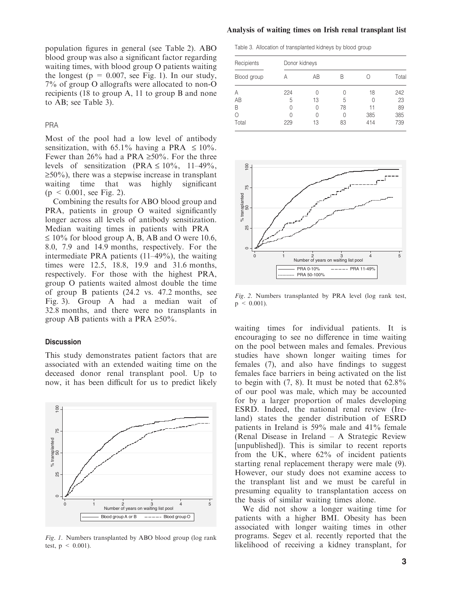population figures in general (see Table 2). ABO blood group was also a significant factor regarding waiting times, with blood group O patients waiting the longest ( $p = 0.007$ , see Fig. 1). In our study, 7% of group O allografts were allocated to non-O recipients (18 to group A, 11 to group B and none to AB; see Table 3).

## PRA

Most of the pool had a low level of antibody sensitization, with 65.1% having a PRA  $\leq 10\%$ . Fewer than 26% had a PRA  $\geq 50\%$ . For the three levels of sensitization (PRA  $\leq 10\%$ , 11–49%,  $\geq 50\%$ ), there was a stepwise increase in transplant waiting time that was highly significant  $(p \le 0.001$ , see Fig. 2).

Combining the results for ABO blood group and PRA, patients in group O waited significantly longer across all levels of antibody sensitization. Median waiting times in patients with PRA  $\leq 10\%$  for blood group A, B, AB and O were 10.6, 8.0, 7.9 and 14.9 months, respectively. For the intermediate PRA patients (11–49%), the waiting times were 12.5, 18.8, 19.9 and 31.6 months, respectively. For those with the highest PRA, group O patients waited almost double the time of group B patients (24.2 vs. 47.2 months, see Fig. 3). Group A had a median wait of 32.8 months, and there were no transplants in group AB patients with a PRA  $\geq 50\%$ .

## **Discussion**



This study demonstrates patient factors that are associated with an extended waiting time on the deceased donor renal transplant pool. Up to now, it has been difficult for us to predict likely

Fig. 1. Numbers transplanted by ABO blood group (log rank test,  $p < 0.001$ ).

## Analysis of waiting times on Irish renal transplant list

Table 3. Allocation of transplanted kidneys by blood group

| Recipients  | Donor kidneys |    |                  |     |       |  |  |
|-------------|---------------|----|------------------|-----|-------|--|--|
| Blood group | А             | AB | R                |     | Total |  |  |
| A           | 224           | 0  | $\left( \right)$ | 18  | 242   |  |  |
| AB          | 5             | 13 | 5                | 0   | 23    |  |  |
| B           | 0             | 0  | 78               | 11  | 89    |  |  |
| Ω           | U             | 0  | N                | 385 | 385   |  |  |
| Total       | 229           | 13 | 83               | 414 | 739   |  |  |



Fig. 2. Numbers transplanted by PRA level (log rank test,  $p \leq 0.001$ ).

waiting times for individual patients. It is encouraging to see no difference in time waiting on the pool between males and females. Previous studies have shown longer waiting times for females (7), and also have findings to suggest females face barriers in being activated on the list to begin with  $(7, 8)$ . It must be noted that  $62.8\%$ of our pool was male, which may be accounted for by a larger proportion of males developing ESRD. Indeed, the national renal review (Ireland) states the gender distribution of ESRD patients in Ireland is 59% male and 41% female (Renal Disease in Ireland – A Strategic Review [unpublished]). This is similar to recent reports from the UK, where 62% of incident patients starting renal replacement therapy were male (9). However, our study does not examine access to the transplant list and we must be careful in presuming equality to transplantation access on the basis of similar waiting times alone.

We did not show a longer waiting time for patients with a higher BMI. Obesity has been associated with longer waiting times in other programs. Segev et al. recently reported that the likelihood of receiving a kidney transplant, for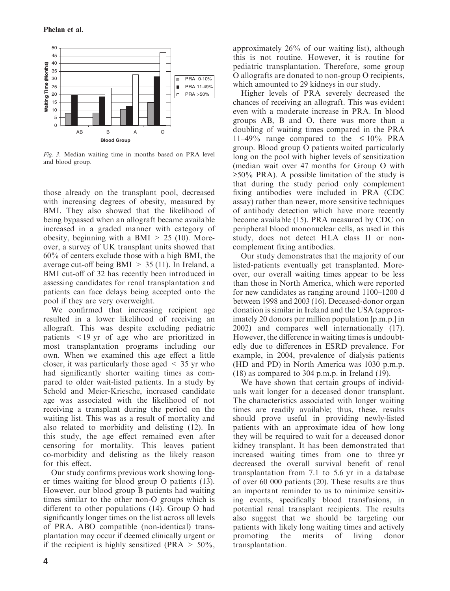

Fig. 3. Median waiting time in months based on PRA level and blood group.

those already on the transplant pool, decreased with increasing degrees of obesity, measured by BMI. They also showed that the likelihood of being bypassed when an allograft became available increased in a graded manner with category of obesity, beginning with a BMI  $> 25$  (10). Moreover, a survey of UK transplant units showed that 60% of centers exclude those with a high BMI, the average cut-off being  $BMI > 35 (11)$ . In Ireland, a BMI cut-off of 32 has recently been introduced in assessing candidates for renal transplantation and patients can face delays being accepted onto the pool if they are very overweight.

We confirmed that increasing recipient age resulted in a lower likelihood of receiving an allograft. This was despite excluding pediatric patients <19 yr of age who are prioritized in most transplantation programs including our own. When we examined this age effect a little closer, it was particularly those aged  $\leq$  35 yr who had significantly shorter waiting times as compared to older wait-listed patients. In a study by Schold and Meier-Kriesche, increased candidate age was associated with the likelihood of not receiving a transplant during the period on the waiting list. This was as a result of mortality and also related to morbidity and delisting (12). In this study, the age effect remained even after censoring for mortality. This leaves patient co-morbidity and delisting as the likely reason for this effect.

Our study confirms previous work showing longer times waiting for blood group O patients (13). However, our blood group B patients had waiting times similar to the other non-O groups which is different to other populations (14). Group O had significantly longer times on the list across all levels of PRA. ABO compatible (non-identical) transplantation may occur if deemed clinically urgent or if the recipient is highly sensitized (PRA  $> 50\%$ , approximately 26% of our waiting list), although this is not routine. However, it is routine for pediatric transplantation. Therefore, some group O allografts are donated to non-group O recipients, which amounted to 29 kidneys in our study.

Higher levels of PRA severely decreased the chances of receiving an allograft. This was evident even with a moderate increase in PRA. In blood groups AB, B and O, there was more than a doubling of waiting times compared in the PRA 11–49% range compared to the  $\leq 10\%$  PRA group. Blood group O patients waited particularly long on the pool with higher levels of sensitization (median wait over 47 months for Group O with  $\geq 50\%$  PRA). A possible limitation of the study is that during the study period only complement fixing antibodies were included in PRA (CDC assay) rather than newer, more sensitive techniques of antibody detection which have more recently become available (15). PRA measured by CDC on peripheral blood mononuclear cells, as used in this study, does not detect HLA class II or noncomplement fixing antibodies.

Our study demonstrates that the majority of our listed-patients eventually get transplanted. Moreover, our overall waiting times appear to be less than those in North America, which were reported for new candidates as ranging around 1100–1200 d between 1998 and 2003 (16). Deceased-donor organ donation is similar in Ireland and the USA (approximately 20 donors per million population [p.m.p.] in 2002) and compares well internationally (17). However, the difference in waiting times is undoubtedly due to differences in ESRD prevalence. For example, in 2004, prevalence of dialysis patients (HD and PD) in North America was 1030 p.m.p. (18) as compared to 304 p.m.p. in Ireland (19).

We have shown that certain groups of individuals wait longer for a deceased donor transplant. The characteristics associated with longer waiting times are readily available; thus, these, results should prove useful in providing newly-listed patients with an approximate idea of how long they will be required to wait for a deceased donor kidney transplant. It has been demonstrated that increased waiting times from one to three yr decreased the overall survival benefit of renal transplantation from 7.1 to 5.6 yr in a database of over 60 000 patients (20). These results are thus an important reminder to us to minimize sensitizing events, specifically blood transfusions, in potential renal transplant recipients. The results also suggest that we should be targeting our patients with likely long waiting times and actively promoting the merits of living donor transplantation.